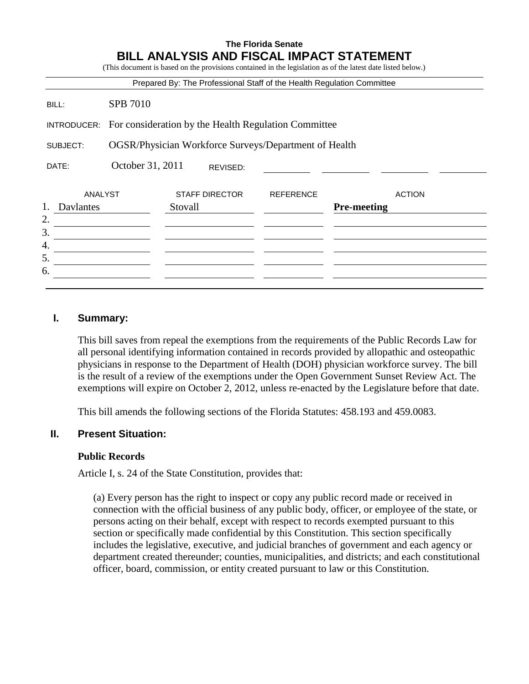## **The Florida Senate BILL ANALYSIS AND FISCAL IMPACT STATEMENT**

|             |                                                       |                                                                        |                  | (This document is based on the provisions contained in the legislation as of the latest date listed below.) |
|-------------|-------------------------------------------------------|------------------------------------------------------------------------|------------------|-------------------------------------------------------------------------------------------------------------|
|             |                                                       | Prepared By: The Professional Staff of the Health Regulation Committee |                  |                                                                                                             |
| BILL:       | <b>SPB 7010</b>                                       |                                                                        |                  |                                                                                                             |
| INTRODUCER: | For consideration by the Health Regulation Committee  |                                                                        |                  |                                                                                                             |
| SUBJECT:    | OGSR/Physician Workforce Surveys/Department of Health |                                                                        |                  |                                                                                                             |
| DATE:       | October 31, 2011<br>REVISED:                          |                                                                        |                  |                                                                                                             |
| ANALYST     |                                                       | <b>STAFF DIRECTOR</b>                                                  | <b>REFERENCE</b> | <b>ACTION</b>                                                                                               |
| Davlantes   |                                                       | Stovall                                                                |                  | <b>Pre-meeting</b>                                                                                          |
| 2.<br>3.    |                                                       |                                                                        |                  |                                                                                                             |
| 4.          |                                                       |                                                                        |                  |                                                                                                             |
| 5.          |                                                       |                                                                        |                  |                                                                                                             |
| 6.          |                                                       |                                                                        |                  |                                                                                                             |

#### **I. Summary:**

This bill saves from repeal the exemptions from the requirements of the Public Records Law for all personal identifying information contained in records provided by allopathic and osteopathic physicians in response to the Department of Health (DOH) physician workforce survey. The bill is the result of a review of the exemptions under the Open Government Sunset Review Act. The exemptions will expire on October 2, 2012, unless re-enacted by the Legislature before that date.

This bill amends the following sections of the Florida Statutes: 458.193 and 459.0083.

#### **II. Present Situation:**

#### **Public Records**

Article I, s. 24 of the State Constitution, provides that:

(a) Every person has the right to inspect or copy any public record made or received in connection with the official business of any public body, officer, or employee of the state, or persons acting on their behalf, except with respect to records exempted pursuant to this section or specifically made confidential by this Constitution. This section specifically includes the legislative, executive, and judicial branches of government and each agency or department created thereunder; counties, municipalities, and districts; and each constitutional officer, board, commission, or entity created pursuant to law or this Constitution.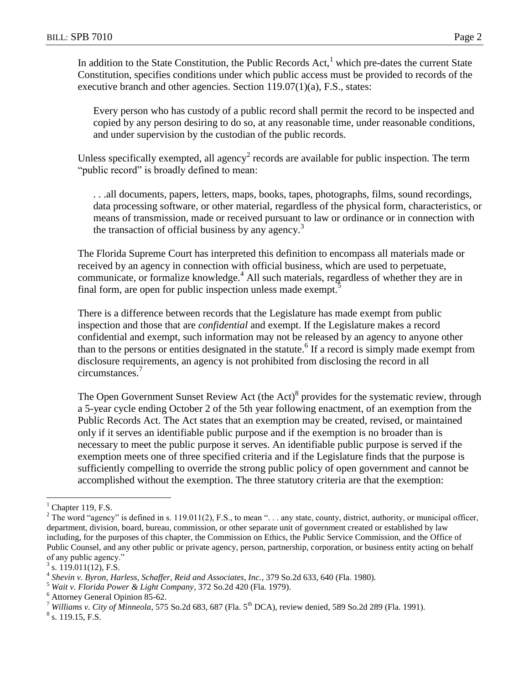In addition to the State Constitution, the Public Records  $Act$ ,<sup>1</sup> which pre-dates the current State Constitution, specifies conditions under which public access must be provided to records of the executive branch and other agencies. Section 119.07(1)(a), F.S., states:

Every person who has custody of a public record shall permit the record to be inspected and copied by any person desiring to do so, at any reasonable time, under reasonable conditions, and under supervision by the custodian of the public records.

Unless specifically exempted, all agency<sup>2</sup> records are available for public inspection. The term "public record" is broadly defined to mean:

. . .all documents, papers, letters, maps, books, tapes, photographs, films, sound recordings, data processing software, or other material, regardless of the physical form, characteristics, or means of transmission, made or received pursuant to law or ordinance or in connection with the transaction of official business by any agency.<sup>3</sup>

The Florida Supreme Court has interpreted this definition to encompass all materials made or received by an agency in connection with official business, which are used to perpetuate, communicate, or formalize knowledge.<sup>4</sup> All such materials, regardless of whether they are in final form, are open for public inspection unless made exempt.<sup>5</sup>

There is a difference between records that the Legislature has made exempt from public inspection and those that are *confidential* and exempt. If the Legislature makes a record confidential and exempt, such information may not be released by an agency to anyone other than to the persons or entities designated in the statute.<sup>6</sup> If a record is simply made exempt from disclosure requirements, an agency is not prohibited from disclosing the record in all circumstances.<sup>7</sup>

The Open Government Sunset Review Act (the Act) $\delta$  provides for the systematic review, through a 5-year cycle ending October 2 of the 5th year following enactment, of an exemption from the Public Records Act. The Act states that an exemption may be created, revised, or maintained only if it serves an identifiable public purpose and if the exemption is no broader than is necessary to meet the public purpose it serves. An identifiable public purpose is served if the exemption meets one of three specified criteria and if the Legislature finds that the purpose is sufficiently compelling to override the strong public policy of open government and cannot be accomplished without the exemption. The three statutory criteria are that the exemption:

 $\overline{a}$ 

Chapter 119, F.S.

<sup>&</sup>lt;sup>2</sup> The word "agency" is defined in s. 119.011(2), F.S., to mean "... any state, county, district, authority, or municipal officer, department, division, board, bureau, commission, or other separate unit of government created or established by law including, for the purposes of this chapter, the Commission on Ethics, the Public Service Commission, and the Office of Public Counsel, and any other public or private agency, person, partnership, corporation, or business entity acting on behalf of any public agency."

<sup>3</sup> s. 119.011(12), F.S.

<sup>4</sup> *Shevin v. Byron, Harless, Schaffer, Reid and Associates, Inc.*, 379 So.2d 633, 640 (Fla. 1980).

<sup>5</sup> *Wait v. Florida Power & Light Company*, 372 So.2d 420 (Fla. 1979).

 $^{6}$  Attorney General Opinion 85-62.

<sup>7</sup> *Williams v. City of Minneola*, 575 So.2d 683, 687 (Fla. 5th DCA), review denied, 589 So.2d 289 (Fla. 1991).

 $^8$  s. 119.15, F.S.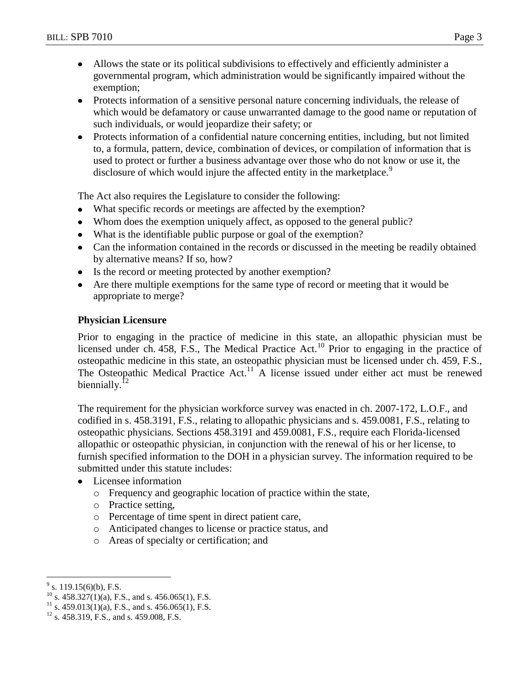- Allows the state or its political subdivisions to effectively and efficiently administer a  $\bullet$ governmental program, which administration would be significantly impaired without the exemption;
- Protects information of a sensitive personal nature concerning individuals, the release of which would be defamatory or cause unwarranted damage to the good name or reputation of such individuals, or would jeopardize their safety; or
- Protects information of a confidential nature concerning entities, including, but not limited  $\bullet$ to, a formula, pattern, device, combination of devices, or compilation of information that is used to protect or further a business advantage over those who do not know or use it, the disclosure of which would injure the affected entity in the marketplace.<sup>9</sup>

The Act also requires the Legislature to consider the following:

- What specific records or meetings are affected by the exemption?
- Whom does the exemption uniquely affect, as opposed to the general public?
- What is the identifiable public purpose or goal of the exemption?
- Can the information contained in the records or discussed in the meeting be readily obtained by alternative means? If so, how?
- Is the record or meeting protected by another exemption?
- Are there multiple exemptions for the same type of record or meeting that it would be appropriate to merge?

### **Physician Licensure**

Prior to engaging in the practice of medicine in this state, an allopathic physician must be licensed under ch. 458, F.S., The Medical Practice Act.<sup>10</sup> Prior to engaging in the practice of osteopathic medicine in this state, an osteopathic physician must be licensed under ch. 459, F.S., The Osteopathic Medical Practice Act.<sup>11</sup> A license issued under either act must be renewed biennially. $12$ 

The requirement for the physician workforce survey was enacted in ch. 2007-172, L.O.F., and codified in s. 458.3191, F.S., relating to allopathic physicians and s. 459.0081, F.S., relating to osteopathic physicians. Sections 458.3191 and 459.0081, F.S., require each Florida-licensed allopathic or osteopathic physician, in conjunction with the renewal of his or her license, to furnish specified information to the DOH in a physician survey. The information required to be submitted under this statute includes:

- Licensee information
	- o Frequency and geographic location of practice within the state,
	- o Practice setting,
	- o Percentage of time spent in direct patient care,
	- o Anticipated changes to license or practice status, and
	- o Areas of specialty or certification; and

 $\overline{a}$ 

 $9^9$  s. 119.15(6)(b), F.S.

 $^{10}$  s. 458.327(1)(a), F.S., and s. 456.065(1), F.S.

 $11$  s. 459.013(1)(a), F.S., and s. 456.065(1), F.S.

 $12$  s. 458.319, F.S., and s. 459.008, F.S.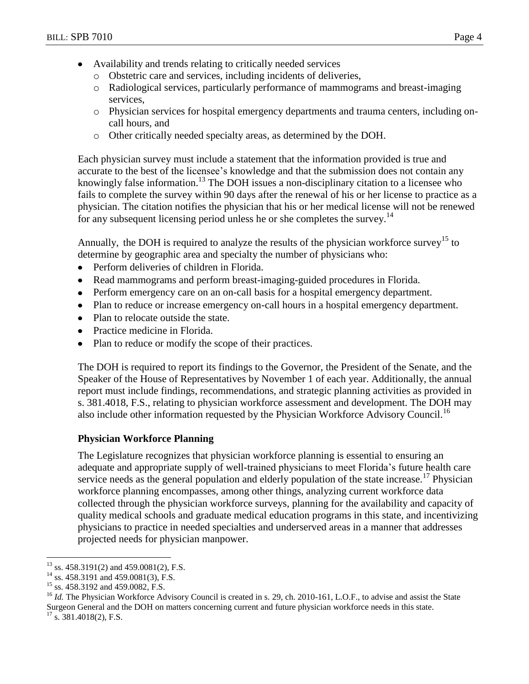- Availability and trends relating to critically needed services  $\bullet$ 
	- o Obstetric care and services, including incidents of deliveries,
	- o Radiological services, particularly performance of mammograms and breast-imaging services,
	- o Physician services for hospital emergency departments and trauma centers, including oncall hours, and
	- o Other critically needed specialty areas, as determined by the DOH.

Each physician survey must include a statement that the information provided is true and accurate to the best of the licensee's knowledge and that the submission does not contain any knowingly false information.<sup>13</sup> The DOH issues a non-disciplinary citation to a licensee who fails to complete the survey within 90 days after the renewal of his or her license to practice as a physician. The citation notifies the physician that his or her medical license will not be renewed for any subsequent licensing period unless he or she completes the survey.<sup>14</sup>

Annually, the DOH is required to analyze the results of the physician workforce survey<sup>15</sup> to determine by geographic area and specialty the number of physicians who:

- Perform deliveries of children in Florida.  $\bullet$
- Read mammograms and perform breast-imaging-guided procedures in Florida.  $\bullet$
- Perform emergency care on an on-call basis for a hospital emergency department.
- Plan to reduce or increase emergency on-call hours in a hospital emergency department.
- Plan to relocate outside the state.
- Practice medicine in Florida.  $\bullet$
- Plan to reduce or modify the scope of their practices.  $\bullet$

The DOH is required to report its findings to the Governor, the President of the Senate, and the Speaker of the House of Representatives by November 1 of each year. Additionally, the annual report must include findings, recommendations, and strategic planning activities as provided in s. 381.4018, F.S., relating to physician workforce assessment and development. The DOH may also include other information requested by the Physician Workforce Advisory Council.<sup>16</sup>

# **Physician Workforce Planning**

The Legislature recognizes that physician workforce planning is essential to ensuring an adequate and appropriate supply of well-trained physicians to meet Florida's future health care service needs as the general population and elderly population of the state increase.<sup>17</sup> Physician workforce planning encompasses, among other things, analyzing current workforce data collected through the physician workforce surveys, planning for the availability and capacity of quality medical schools and graduate medical education programs in this state, and incentivizing physicians to practice in needed specialties and underserved areas in a manner that addresses projected needs for physician manpower.

<sup>16</sup> *Id.* The Physician Workforce Advisory Council is created in s. 29, ch. 2010-161, L.O.F., to advise and assist the State Surgeon General and the DOH on matters concerning current and future physician workforce needs in this state.

 $\overline{a}$  $13$  ss. 458.3191(2) and 459.0081(2), F.S.

<sup>&</sup>lt;sup>14</sup> ss. 458.3191 and 459.0081(3), F.S.

<sup>&</sup>lt;sup>15</sup> ss. 458.3192 and 459.0082, F.S.

 $17$  s. 381.4018(2), F.S.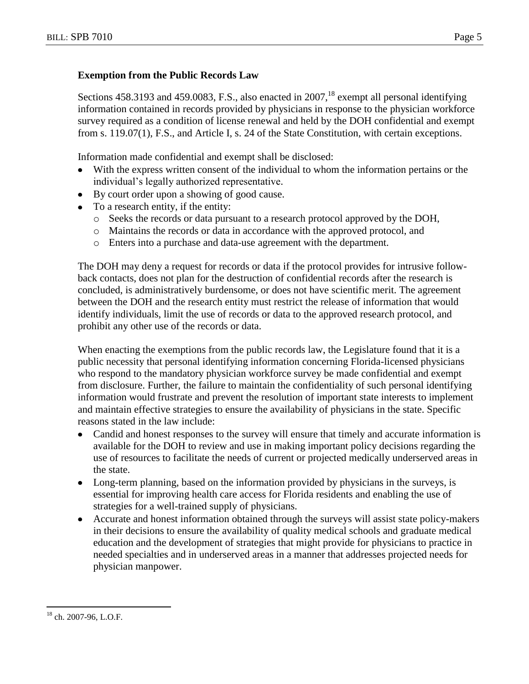# **Exemption from the Public Records Law**

Sections 458.3193 and 459.0083, F.S., also enacted in 2007,<sup>18</sup> exempt all personal identifying information contained in records provided by physicians in response to the physician workforce survey required as a condition of license renewal and held by the DOH confidential and exempt from s. 119.07(1), F.S., and Article I, s. 24 of the State Constitution, with certain exceptions.

Information made confidential and exempt shall be disclosed:

- With the express written consent of the individual to whom the information pertains or the  $\bullet$ individual's legally authorized representative.
- By court order upon a showing of good cause.
- To a research entity, if the entity:
	- o Seeks the records or data pursuant to a research protocol approved by the DOH,
	- o Maintains the records or data in accordance with the approved protocol, and
	- o Enters into a purchase and data-use agreement with the department.

The DOH may deny a request for records or data if the protocol provides for intrusive followback contacts, does not plan for the destruction of confidential records after the research is concluded, is administratively burdensome, or does not have scientific merit. The agreement between the DOH and the research entity must restrict the release of information that would identify individuals, limit the use of records or data to the approved research protocol, and prohibit any other use of the records or data.

When enacting the exemptions from the public records law, the Legislature found that it is a public necessity that personal identifying information concerning Florida-licensed physicians who respond to the mandatory physician workforce survey be made confidential and exempt from disclosure. Further, the failure to maintain the confidentiality of such personal identifying information would frustrate and prevent the resolution of important state interests to implement and maintain effective strategies to ensure the availability of physicians in the state. Specific reasons stated in the law include:

- Candid and honest responses to the survey will ensure that timely and accurate information is available for the DOH to review and use in making important policy decisions regarding the use of resources to facilitate the needs of current or projected medically underserved areas in the state.
- Long-term planning, based on the information provided by physicians in the surveys, is essential for improving health care access for Florida residents and enabling the use of strategies for a well-trained supply of physicians.
- Accurate and honest information obtained through the surveys will assist state policy-makers in their decisions to ensure the availability of quality medical schools and graduate medical education and the development of strategies that might provide for physicians to practice in needed specialties and in underserved areas in a manner that addresses projected needs for physician manpower.

 $\overline{a}$ <sup>18</sup> ch. 2007-96, L.O.F.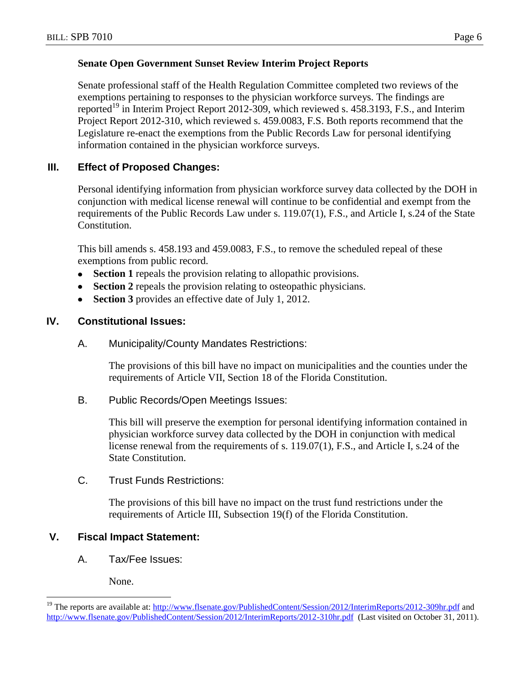## **Senate Open Government Sunset Review Interim Project Reports**

Senate professional staff of the Health Regulation Committee completed two reviews of the exemptions pertaining to responses to the physician workforce surveys. The findings are reported<sup>19</sup> in Interim Project Report 2012-309, which reviewed s. 458.3193, F.S., and Interim Project Report 2012-310, which reviewed s. 459.0083, F.S. Both reports recommend that the Legislature re-enact the exemptions from the Public Records Law for personal identifying information contained in the physician workforce surveys.

# **III. Effect of Proposed Changes:**

Personal identifying information from physician workforce survey data collected by the DOH in conjunction with medical license renewal will continue to be confidential and exempt from the requirements of the Public Records Law under s. 119.07(1), F.S., and Article I, s.24 of the State Constitution.

This bill amends s. 458.193 and 459.0083, F.S., to remove the scheduled repeal of these exemptions from public record.

- **Section 1** repeals the provision relating to allopathic provisions.  $\bullet$
- **Section 2** repeals the provision relating to osteopathic physicians.  $\bullet$
- **Section 3** provides an effective date of July 1, 2012.

# **IV. Constitutional Issues:**

A. Municipality/County Mandates Restrictions:

The provisions of this bill have no impact on municipalities and the counties under the requirements of Article VII, Section 18 of the Florida Constitution.

B. Public Records/Open Meetings Issues:

This bill will preserve the exemption for personal identifying information contained in physician workforce survey data collected by the DOH in conjunction with medical license renewal from the requirements of s. 119.07(1), F.S., and Article I, s.24 of the State Constitution.

# C. Trust Funds Restrictions:

The provisions of this bill have no impact on the trust fund restrictions under the requirements of Article III, Subsection 19(f) of the Florida Constitution.

# **V. Fiscal Impact Statement:**

A. Tax/Fee Issues:

None.

 $\overline{a}$ 

<sup>&</sup>lt;sup>19</sup> The reports are available at:<http://www.flsenate.gov/PublishedContent/Session/2012/InterimReports/2012-309hr.pdf> and <http://www.flsenate.gov/PublishedContent/Session/2012/InterimReports/2012-310hr.pdf>(Last visited on October 31, 2011).